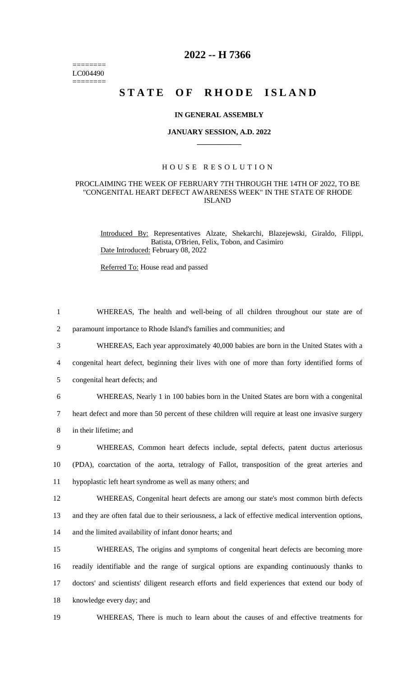======== LC004490  $=$ 

## **2022 -- H 7366**

# **STATE OF RHODE ISLAND**

#### **IN GENERAL ASSEMBLY**

#### **JANUARY SESSION, A.D. 2022 \_\_\_\_\_\_\_\_\_\_\_\_**

### H O U S E R E S O L U T I O N

#### PROCLAIMING THE WEEK OF FEBRUARY 7TH THROUGH THE 14TH OF 2022, TO BE "CONGENITAL HEART DEFECT AWARENESS WEEK" IN THE STATE OF RHODE ISLAND

Introduced By: Representatives Alzate, Shekarchi, Blazejewski, Giraldo, Filippi, Batista, O'Brien, Felix, Tobon, and Casimiro Date Introduced: February 08, 2022

Referred To: House read and passed

| $\mathbf{1}$   | WHEREAS, The health and well-being of all children throughout our state are of                       |
|----------------|------------------------------------------------------------------------------------------------------|
| $\overline{2}$ | paramount importance to Rhode Island's families and communities; and                                 |
| 3              | WHEREAS, Each year approximately 40,000 babies are born in the United States with a                  |
| 4              | congenital heart defect, beginning their lives with one of more than forty identified forms of       |
| 5              | congenital heart defects; and                                                                        |
| 6              | WHEREAS, Nearly 1 in 100 babies born in the United States are born with a congenital                 |
| 7              | heart defect and more than 50 percent of these children will require at least one invasive surgery   |
| 8              | in their lifetime; and                                                                               |
| 9              | WHEREAS, Common heart defects include, septal defects, patent ductus arteriosus                      |
| 10             | (PDA), coarctation of the aorta, tetralogy of Fallot, transposition of the great arteries and        |
| 11             | hypoplastic left heart syndrome as well as many others; and                                          |
| 12             | WHEREAS, Congenital heart defects are among our state's most common birth defects                    |
| 13             | and they are often fatal due to their seriousness, a lack of effective medical intervention options, |
| 14             | and the limited availability of infant donor hearts; and                                             |
| 15             | WHEREAS, The origins and symptoms of congenital heart defects are becoming more                      |
| 16             | readily identifiable and the range of surgical options are expanding continuously thanks to          |
| 17             | doctors' and scientists' diligent research efforts and field experiences that extend our body of     |
| 18             | knowledge every day; and                                                                             |
| 19             | WHEREAS, There is much to learn about the causes of and effective treatments for                     |